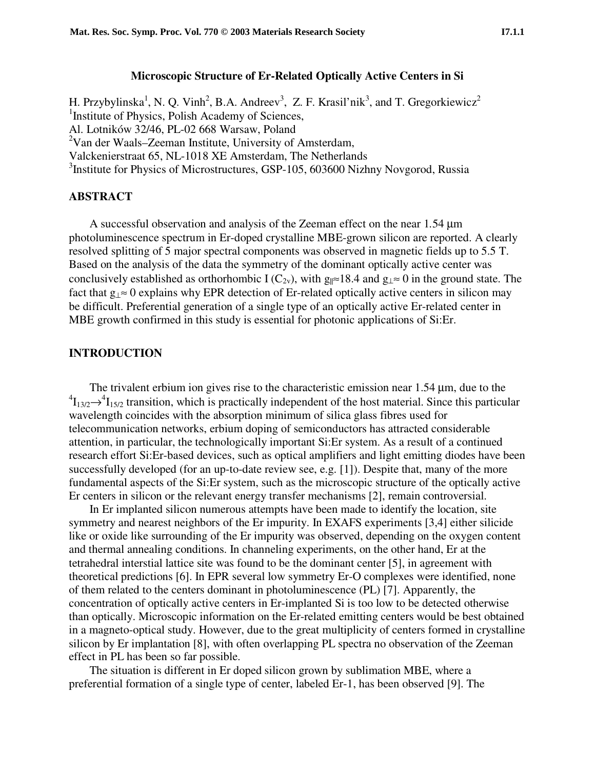### **Microscopic Structure of Er-Related Optically Active Centers in Si**

H. Przybylinska<sup>1</sup>, N. Q. Vinh<sup>2</sup>, B.A. Andreev<sup>3</sup>, Z. F. Krasil'nik<sup>3</sup>, and T. Gregorkiewicz<sup>2</sup> <sup>1</sup>Institute of Physics, Polish Academy of Sciences, Al. Lotników 32/46, PL-02 668 Warsaw, Poland <sup>2</sup>Van der Waals–Zeeman Institute, University of Amsterdam, Valckenierstraat 65, NL-1018 XE Amsterdam, The Netherlands <sup>3</sup>Institute for Physics of Microstructures, GSP-105, 603600 Nizhny Novgorod, Russia

#### **ABSTRACT**

A successful observation and analysis of the Zeeman effect on the near 1*.*54 µm photoluminescence spectrum in Er-doped crystalline MBE-grown silicon are reported. A clearly resolved splitting of 5 major spectral components was observed in magnetic fields up to 5.5 T. Based on the analysis of the data the symmetry of the dominant optically active center was conclusively established as orthorhombic I ( $C_{2v}$ ), with g<sub>||≈</sub>18.4 and g<sub>|</sub> ≈ 0 in the ground state. The fact that g⊥≈ 0 explains why EPR detection of Er-related optically active centers in silicon may be difficult. Preferential generation of a single type of an optically active Er-related center in MBE growth confirmed in this study is essential for photonic applications of Si:Er.

## **INTRODUCTION**

The trivalent erbium ion gives rise to the characteristic emission near 1.54  $\mu$ m, due to the  ${}^{4}I_{13/2} \rightarrow {}^{4}I_{15/2}$  transition, which is practically independent of the host material. Since this particular wavelength coincides with the absorption minimum of silica glass fibres used for telecommunication networks, erbium doping of semiconductors has attracted considerable attention, in particular, the technologically important Si:Er system. As a result of a continued research effort Si:Er-based devices, such as optical amplifiers and light emitting diodes have been successfully developed (for an up-to-date review see, e.g. [1]). Despite that, many of the more fundamental aspects of the Si:Er system, such as the microscopic structure of the optically active Er centers in silicon or the relevant energy transfer mechanisms [2], remain controversial.

In Er implanted silicon numerous attempts have been made to identify the location, site symmetry and nearest neighbors of the Er impurity. In EXAFS experiments [3,4] either silicide like or oxide like surrounding of the Er impurity was observed, depending on the oxygen content and thermal annealing conditions. In channeling experiments, on the other hand, Er at the tetrahedral interstial lattice site was found to be the dominant center [5], in agreement with theoretical predictions [6]. In EPR several low symmetry Er-O complexes were identified, none of them related to the centers dominant in photoluminescence (PL) [7]. Apparently, the concentration of optically active centers in Er-implanted Si is too low to be detected otherwise than optically. Microscopic information on the Er-related emitting centers would be best obtained in a magneto-optical study. However, due to the great multiplicity of centers formed in crystalline silicon by Er implantation [8], with often overlapping PL spectra no observation of the Zeeman effect in PL has been so far possible.

The situation is different in Er doped silicon grown by sublimation MBE, where a preferential formation of a single type of center, labeled Er-1, has been observed [9]. The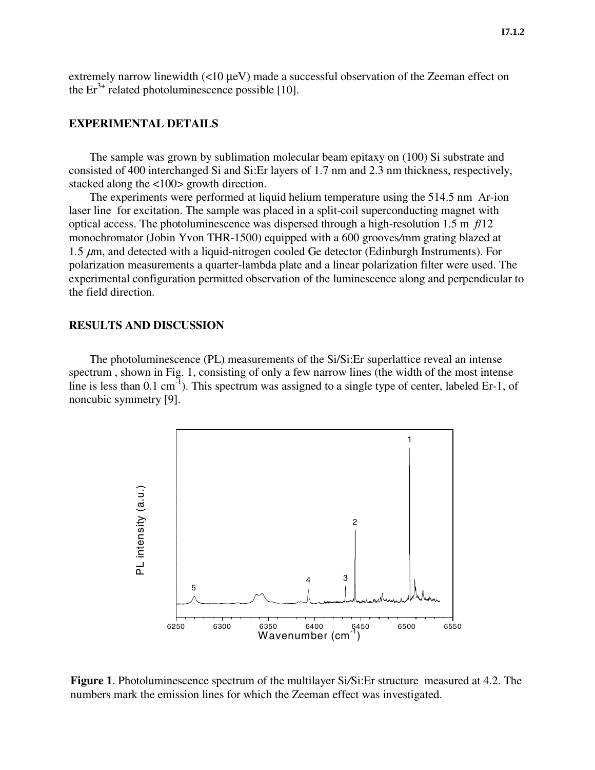extremely narrow linewidth (<10 µeV) made a successful observation of the Zeeman effect on the  $Er^{3+}$  related photoluminescence possible [10].

### **EXPERIMENTAL DETAILS**

The sample was grown by sublimation molecular beam epitaxy on (100) Si substrate and consisted of 400 interchanged Si and Si:Er layers of 1.7 nm and 2.3 nm thickness, respectively, stacked along the <100> growth direction.

The experiments were performed at liquid helium temperature using the 514.5 nm Ar-ion laser line for excitation. The sample was placed in a split-coil superconducting magnet with optical access. The photoluminescence was dispersed through a high-resolution 1.5 m *f*/12 monochromator (Jobin Yvon THR-1500) equipped with a 600 grooves*/*mm grating blazed at 1.5  $\mu$ m, and detected with a liquid-nitrogen cooled Ge detector (Edinburgh Instruments). For polarization measurements a quarter-lambda plate and a linear polarization filter were used. The experimental configuration permitted observation of the luminescence along and perpendicular to the field direction.

#### **RESULTS AND DISCUSSION**

The photoluminescence (PL) measurements of the Si/Si:Er superlattice reveal an intense spectrum , shown in Fig. 1, consisting of only a few narrow lines (the width of the most intense line is less than  $0.1 \text{ cm}^{-1}$ ). This spectrum was assigned to a single type of center, labeled Er-1, of noncubic symmetry [9].



**Figure 1**. Photoluminescence spectrum of the multilayer Si*/*Si:Er structure measured at 4.2. The numbers mark the emission lines for which the Zeeman effect was investigated.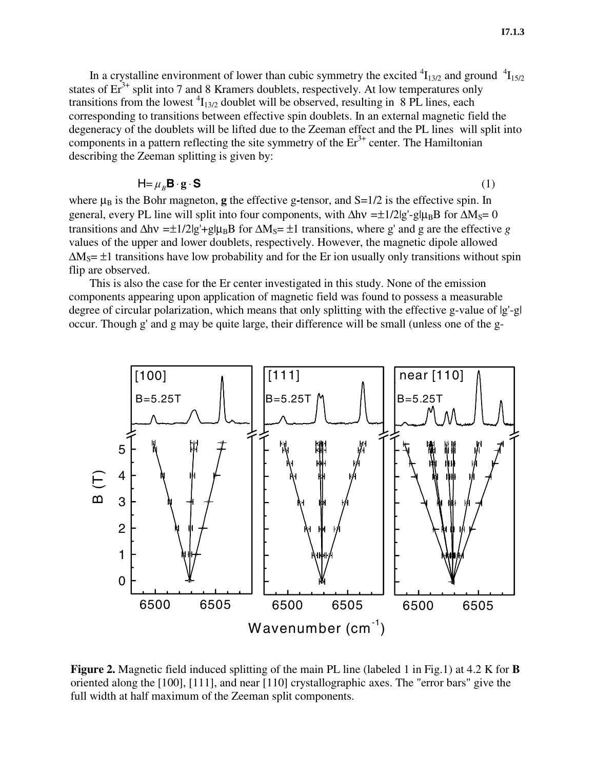In a crystalline environment of lower than cubic symmetry the excited  ${}^{4}I_{13/2}$  and ground  ${}^{4}I_{15/2}$ states of  $Er<sup>3+</sup>$  split into 7 and 8 Kramers doublets, respectively. At low temperatures only transitions from the lowest  ${}^{4}I_{13/2}$  doublet will be observed, resulting in 8 PL lines, each corresponding to transitions between effective spin doublets. In an external magnetic field the degeneracy of the doublets will be lifted due to the Zeeman effect and the PL lines will split into components in a pattern reflecting the site symmetry of the  $Er<sup>3+</sup>$  center. The Hamiltonian describing the Zeeman splitting is given by:

$$
\mathsf{H} = \mu_B \mathsf{B} \cdot \mathsf{g} \cdot \mathsf{S} \tag{1}
$$

where  $\mu_B$  is the Bohr magneton, **g** the effective g-tensor, and S=1/2 is the effective spin. In general, every PL line will split into four components, with ∆hν =±1/2|g'-g|μ<sub>B</sub>B for ∆M<sub>S</sub>= 0 transitions and  $\Delta h v = \pm 1/2|g' + g|\mu_B B$  for  $\Delta M_S = \pm 1$  transitions, where g' and g are the effective *g* values of the upper and lower doublets, respectively. However, the magnetic dipole allowed  $\Delta M_S$ = ±1 transitions have low probability and for the Er ion usually only transitions without spin flip are observed.

This is also the case for the Er center investigated in this study. None of the emission components appearing upon application of magnetic field was found to possess a measurable degree of circular polarization, which means that only splitting with the effective g-value of |g'-g| occur. Though g' and g may be quite large, their difference will be small (unless one of the g-



**Figure 2.** Magnetic field induced splitting of the main PL line (labeled 1 in Fig.1) at 4.2 K for **B** oriented along the [100], [111], and near [110] crystallographic axes. The "error bars" give the full width at half maximum of the Zeeman split components.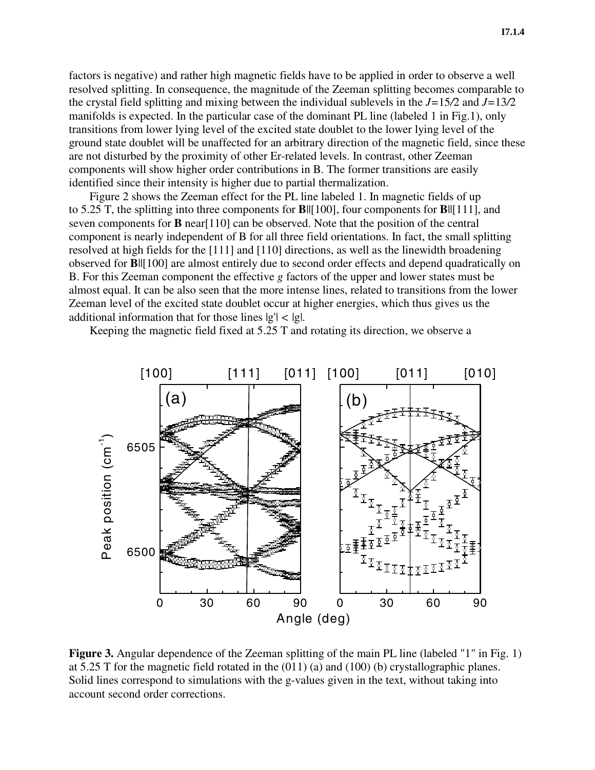factors is negative) and rather high magnetic fields have to be applied in order to observe a well resolved splitting. In consequence, the magnitude of the Zeeman splitting becomes comparable to the crystal field splitting and mixing between the individual sublevels in the *J=*15*/*2 and *J=*13*/*2 manifolds is expected. In the particular case of the dominant PL line (labeled 1 in Fig.1), only transitions from lower lying level of the excited state doublet to the lower lying level of the ground state doublet will be unaffected for an arbitrary direction of the magnetic field, since these are not disturbed by the proximity of other Er-related levels. In contrast, other Zeeman components will show higher order contributions in B. The former transitions are easily identified since their intensity is higher due to partial thermalization.

Figure 2 shows the Zeeman effect for the PL line labeled 1. In magnetic fields of up to 5.25 T, the splitting into three components for **B**||[100], four components for **B**||[111], and seven components for **B** near[110] can be observed. Note that the position of the central component is nearly independent of B for all three field orientations. In fact, the small splitting resolved at high fields for the [111] and [110] directions, as well as the linewidth broadening observed for **B**||[100] are almost entirely due to second order effects and depend quadratically on B. For this Zeeman component the effective *g* factors of the upper and lower states must be almost equal. It can be also seen that the more intense lines, related to transitions from the lower Zeeman level of the excited state doublet occur at higher energies, which thus gives us the additional information that for those lines |g'| *<* |g|.

Keeping the magnetic field fixed at 5.25 T and rotating its direction, we observe a



**Figure 3.** Angular dependence of the Zeeman splitting of the main PL line (labeled "1" in Fig. 1) at 5.25 T for the magnetic field rotated in the (011) (a) and (100) (b) crystallographic planes. Solid lines correspond to simulations with the g-values given in the text, without taking into account second order corrections.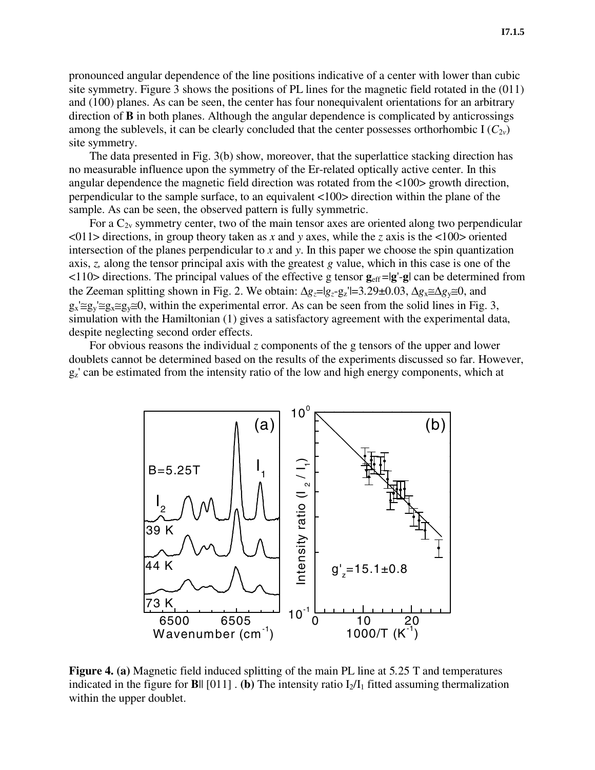pronounced angular dependence of the line positions indicative of a center with lower than cubic site symmetry. Figure 3 shows the positions of PL lines for the magnetic field rotated in the (011) and (100) planes. As can be seen, the center has four nonequivalent orientations for an arbitrary direction of **B** in both planes. Although the angular dependence is complicated by anticrossings among the sublevels, it can be clearly concluded that the center possesses orthorhombic  $I(C_{2v})$ site symmetry.

The data presented in Fig. 3(b) show, moreover, that the superlattice stacking direction has no measurable influence upon the symmetry of the Er-related optically active center. In this angular dependence the magnetic field direction was rotated from the <100> growth direction, perpendicular to the sample surface, to an equivalent <100> direction within the plane of the sample. As can be seen, the observed pattern is fully symmetric.

For a  $C_{2v}$  symmetry center, two of the main tensor axes are oriented along two perpendicular <011> directions, in group theory taken as *x* and *y* axes, while the *z* axis is the <100> oriented intersection of the planes perpendicular to *x* and *y*. In this paper we choose the spin quantization axis, *z,* along the tensor principal axis with the greatest *g* value, which in this case is one of the  $\langle 110 \rangle$  directions. The principal values of the effective g tensor  $\mathbf{g}_{\text{eff}} = |\mathbf{g}' - \mathbf{g}|$  can be determined from the Zeeman splitting shown in Fig. 2. We obtain: ∆*gz*=|*gz*-gz'|=3*.*29±0.03, ∆*g*x≅∆*g*y≅0, and  $g_x \equiv g_y \equiv g_x \equiv g_y \equiv 0$ , within the experimental error. As can be seen from the solid lines in Fig. 3, simulation with the Hamiltonian (1) gives a satisfactory agreement with the experimental data, despite neglecting second order effects.

For obvious reasons the individual *z* components of the g tensors of the upper and lower doublets cannot be determined based on the results of the experiments discussed so far. However,  $g_z$ ' can be estimated from the intensity ratio of the low and high energy components, which at



**Figure 4. (a)** Magnetic field induced splitting of the main PL line at 5*.*25 T and temperatures indicated in the figure for **B**||  $[011]$  . (b) The intensity ratio  $I_2/I_1$  fitted assuming thermalization within the upper doublet.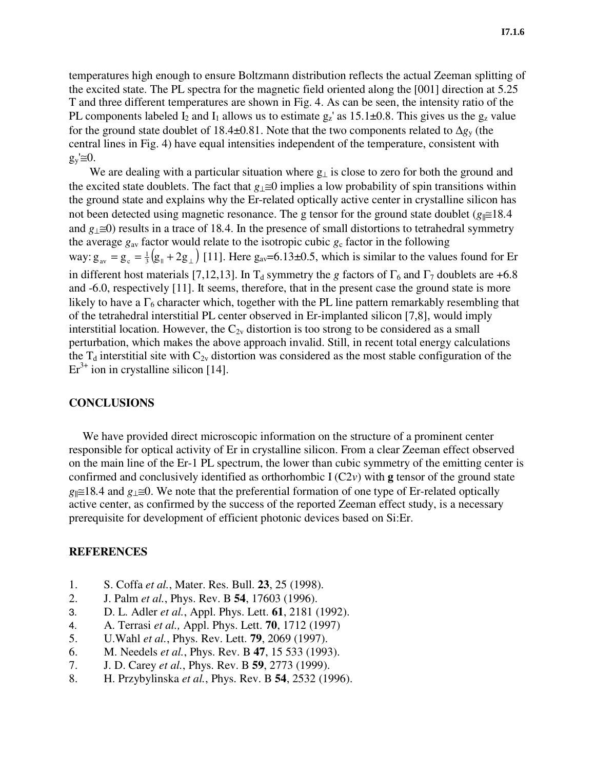temperatures high enough to ensure Boltzmann distribution reflects the actual Zeeman splitting of the excited state. The PL spectra for the magnetic field oriented along the [001] direction at 5.25 T and three different temperatures are shown in Fig. 4. As can be seen, the intensity ratio of the PL components labeled  $I_2$  and  $I_1$  allows us to estimate  $g_z$ ' as 15.1 $\pm$ 0.8. This gives us the  $g_z$  value for the ground state doublet of 18.4±0.81. Note that the two components related to ∆*g*y (the central lines in Fig. 4) have equal intensities independent of the temperature, consistent with  $g_y \equiv 0$ .

We are dealing with a particular situation where  $g_{\perp}$  is close to zero for both the ground and the excited state doublets. The fact that *g*⊥≅0 implies a low probability of spin transitions within the ground state and explains why the Er-related optically active center in crystalline silicon has not been detected using magnetic resonance. The g tensor for the ground state doublet (*g*<sub>||</sub>≅18*.4* and *g*⊥≅0) results in a trace of 18*.*4. In the presence of small distortions to tetrahedral symmetry the average  $g_{av}$  factor would relate to the isotropic cubic  $g_c$  factor in the following way:  $g_{av} = g_c = \frac{1}{3} (g_{\parallel} + 2g_{\perp})$  [11]. Here  $g_{av} = 6.13 \pm 0.5$ , which is similar to the values found for Er in different host materials [7,12,13]. In T<sub>d</sub> symmetry the *g* factors of  $\Gamma_6$  and  $\Gamma_7$  doublets are +6.8 and -6.0, respectively [11]. It seems, therefore, that in the present case the ground state is more likely to have a  $\Gamma_6$  character which, together with the PL line pattern remarkably resembling that of the tetrahedral interstitial PL center observed in Er-implanted silicon [7,8], would imply interstitial location. However, the  $C_{2v}$  distortion is too strong to be considered as a small perturbation, which makes the above approach invalid. Still, in recent total energy calculations the  $T_d$  interstitial site with  $C_{2v}$  distortion was considered as the most stable configuration of the  $Er<sup>3+</sup>$  ion in crystalline silicon [14].

## **CONCLUSIONS**

We have provided direct microscopic information on the structure of a prominent center responsible for optical activity of Er in crystalline silicon. From a clear Zeeman effect observed on the main line of the Er-1 PL spectrum, the lower than cubic symmetry of the emitting center is confirmed and conclusively identified as orthorhombic I (C2*v*) with **g** tensor of the ground state *g*||≅18*.*4 and *g*⊥≅0. We note that the preferential formation of one type of Er-related optically active center, as confirmed by the success of the reported Zeeman effect study, is a necessary prerequisite for development of efficient photonic devices based on Si:Er.

### **REFERENCES**

- 1. S. Coffa *et al.*, Mater. Res. Bull. **23**, 25 (1998).
- 2. J. Palm *et al.*, Phys. Rev. B **54**, 17603 (1996).
- 3. D. L. Adler *et al.*, Appl. Phys. Lett. **61**, 2181 (1992).
- 4. A. Terrasi *et al.,* Appl. Phys. Lett. **70**, 1712 (1997)
- 5. U.Wahl *et al.*, Phys. Rev. Lett. **79**, 2069 (1997).
- 6. M. Needels *et al.*, Phys. Rev. B **47**, 15 533 (1993).
- 7. J. D. Carey *et al.*, Phys. Rev. B **59**, 2773 (1999).
- 8. H. Przybylinska *et al.*, Phys. Rev. B **54**, 2532 (1996).